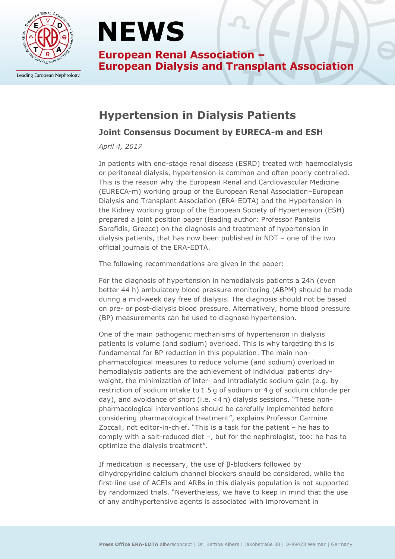

Leading European Nephrology

# **NEWS**

**European Renal Association -European Dialysis and Transplant Association** 

### **Hypertension in Dialysis Patients**

#### **Joint Consensus Document by EURECA-m and ESH**

*April 4, 2017*

In patients with end-stage renal disease (ESRD) treated with haemodialysis or peritoneal dialysis, hypertension is common and often poorly controlled. This is the reason why the European Renal and Cardiovascular Medicine (EURECA-m) working group of the European Renal Association–European Dialysis and Transplant Association (ERA-EDTA) and the Hypertension in the Kidney working group of the European Society of Hypertension (ESH) prepared a joint position paper (leading author: Professor Pantelis Sarafidis, Greece) on the diagnosis and treatment of hypertension in dialysis patients, that has now been published in NDT – one of the two official journals of the ERA-EDTA.

The following recommendations are given in the paper:

For the diagnosis of hypertension in hemodialysis patients a 24h (even better 44 h) ambulatory blood pressure monitoring (ABPM) should be made during a mid-week day free of dialysis. The diagnosis should not be based on pre- or post-dialysis blood pressure. Alternatively, home blood pressure (BP) measurements can be used to diagnose hypertension.

One of the main pathogenic mechanisms of hypertension in dialysis patients is volume (and sodium) overload. This is why targeting this is fundamental for BP reduction in this population. The main nonpharmacological measures to reduce volume (and sodium) overload in hemodialysis patients are the achievement of individual patients' dryweight, the minimization of inter- and intradialytic sodium gain (e.g. by restriction of sodium intake to 1.5 g of sodium or 4 g of sodium chloride per day), and avoidance of short (i.e. <4 h) dialysis sessions. "These nonpharmacological interventions should be carefully implemented before considering pharmacological treatment", explains Professor Carmine Zoccali, ndt editor-in-chief. "This is a task for the patient – he has to comply with a salt-reduced diet –, but for the nephrologist, too: he has to optimize the dialysis treatment".

If medication is necessary, the use of β-blockers followed by dihydropyridine calcium channel blockers should be considered, while the first-line use of ACEIs and ARBs in this dialysis population is not supported by randomized trials. "Nevertheless, we have to keep in mind that the use of any antihypertensive agents is associated with improvement in